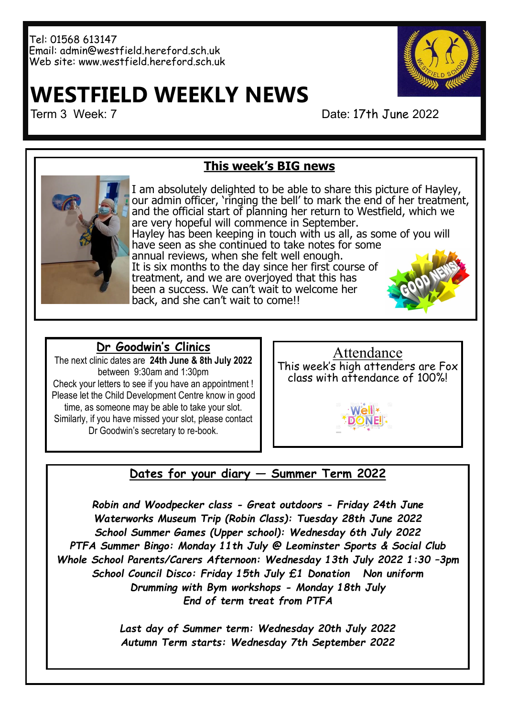#### Tel: 01568 613147 Email: admin@westfield.hereford.sch.uk Web site: www.westfield.hereford.sch.uk

# **WESTFIELD WEEKLY NEWS**

Term 3 Week: 7 Date: 17th June 2022

## **This week's BIG news**



I am absolutely delighted to be able to share this picture of Hayley, our admin officer, 'ringing the bell' to mark the end of her treatment, and the official start of planning her return to Westfield, which we are very hopeful will commence in September. Hayley has been keeping in touch with us all, as some of you will have seen as she continued to take notes for some annual reviews, when she felt well enough. It is six months to the day since her first course of treatment, and we are overjoyed that this has been a success. We can't wait to welcome her back, and she can't wait to come!!

## **Dr Goodwin's Clinics**

The next clinic dates are **24th June & 8th July 2022** between 9:30am and 1:30pm Check your letters to see if you have an appointment ! Please let the Child Development Centre know in good time, as someone may be able to take your slot. Similarly, if you have missed your slot, please contact Dr Goodwin's secretary to re-book.



#### **Dates for your diary — Summer Term 2022**

*Robin and Woodpecker class - Great outdoors - Friday 24th June Waterworks Museum Trip (Robin Class): Tuesday 28th June 2022 School Summer Games (Upper school): Wednesday 6th July 2022 PTFA Summer Bingo: Monday 11th July @ Leominster Sports & Social Club Whole School Parents/Carers Afternoon: Wednesday 13th July 2022 1:30 –3pm School Council Disco: Friday 15th July £1 Donation Non uniform Drumming with Bym workshops - Monday 18th July End of term treat from PTFA*

> *Last day of Summer term: Wednesday 20th July 2022 Autumn Term starts: Wednesday 7th September 2022*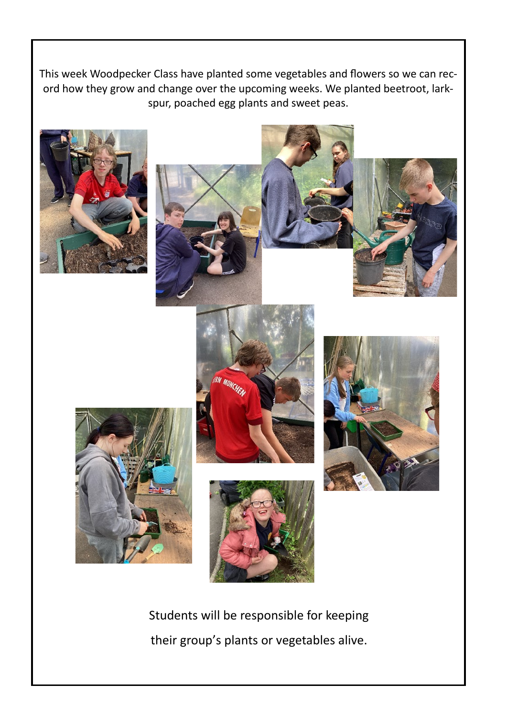This week Woodpecker Class have planted some vegetables and flowers so we can record how they grow and change over the upcoming weeks. We planted beetroot, larkspur, poached egg plants and sweet peas.













Students will be responsible for keeping their group's plants or vegetables alive.